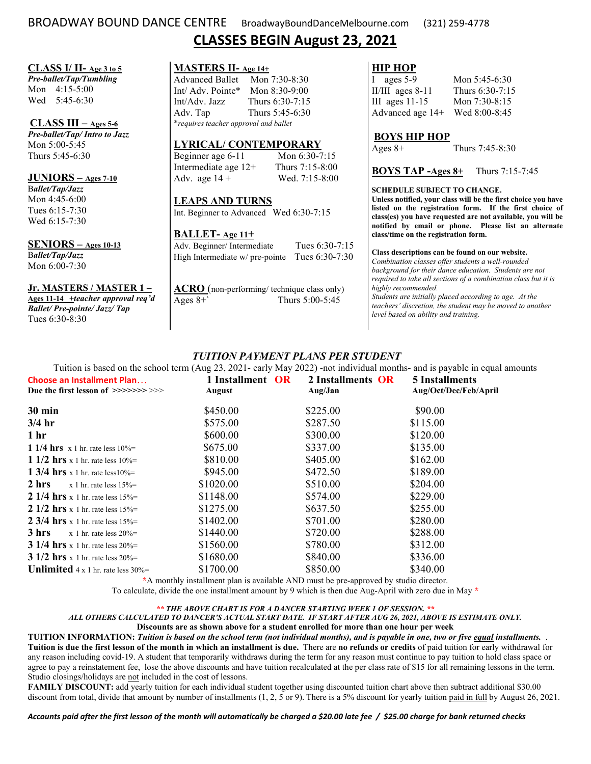# BROADWAY BOUND DANCE CENTRE BroadwayBoundDanceMelbourne.com (321) 259-4778 **CLASSES BEGIN August 23, 2021**

#### **CLASS I/ II- Age 3 to 5**

*Pre-ballet/Tap/Tumbling*  Mon 4:15-5:00 Wed 5:45-6:30

#### **CLASS III – Ages 5-6**

*Pre-ballet/Tap/ Intro to Jazz*  Mon 5:00-5:45 Thurs 5:45-6:30

## **JUNIORS – Ages 7-10**

B*allet/Tap/Jazz*  Mon 4:45-6:00 Tues 6:15-7:30 Wed 6:15-7:30

#### **SENIORS – Ages 10-13**

B*allet/Tap/Jazz*  Mon 6:00-7:30

#### **Jr. MASTERS / MASTER 1 –**

**Ages 11-14 +***teacher approval req'd Ballet/ Pre-pointe/ Jazz/ Tap* Tues 6:30-8:30

| MASTERS II- Age 14+                          |                 |  |  |
|----------------------------------------------|-----------------|--|--|
| <b>Advanced Ballet</b>                       | Mon 7:30-8:30   |  |  |
| Int/ Adv. Pointe*                            | Mon $8:30-9:00$ |  |  |
| Int/Adv. Jazz                                | Thurs 6:30-7:15 |  |  |
| Adv. Tap                                     | Thurs 5:45-6:30 |  |  |
| <i>*requires teacher approval and ballet</i> |                 |  |  |

## **LYRICAL/ CONTEMPORARY**

on 6:30-7:15 Intermediate are 12-8:00 ed. 7:15-8:00

 $6:30-7:15$ 

# **BALLET- Age 11+**

| Adv. Beginner/Intermediate                     | Tues $6:30-7:15$ |
|------------------------------------------------|------------------|
| High Intermediate w/ pre-pointe Tues 6:30-7:30 |                  |

Ages 8+` Thurs 5:00-5:45

# **HIP HOP**<br> **I** ages 5-9

Mon 5:45-6:30 II/III ages 8-11 Thurs 6:30-7:15 III ages 11-15 Mon 7:30-8:15 Advanced age 14+ Wed 8:00-8:45

#### **BOYS HIP HOP**

Ages 8+ Thurs 7:45-8:30

#### **BOYS TAP -Ages 8+** Thurs 7:15-7:45

#### **SCHEDULE SUBJECT TO CHANGE.**

*level based on ability and training.* 

**Unless notified, your class will be the first choice you have listed on the registration form. If the first choice of class(es) you have requested are not available, you will be notified by email or phone. Please list an alternate class/time on the registration form.** 

#### **Class descriptions can be found on our website.**

*Combination classes offer students a well-rounded background for their dance education. Students are not required to take all sections of a combination class but it is highly recommended. Students are initially placed according to age. At the teachers' discretion, the student may be moved to another* 

# *TUITION PAYMENT PLANS PER STUDENT*

Tuition is based on the school term (Aug 23, 2021- early May 2022) -not individual months- and is payable in equal amounts

| Choose an Installment Plan                         | 1 Installment OR | 2 Installments OR | 5 Installments        |
|----------------------------------------------------|------------------|-------------------|-----------------------|
| Due the first lesson of $\gg>>>>>>>\gg$            | August           | Aug/Jan           | Aug/Oct/Dec/Feb/April |
| $30 \text{ min}$                                   | \$450.00         | \$225.00          | \$90.00               |
| $3/4$ hr                                           | \$575.00         | \$287.50          | \$115.00              |
| 1 <sub>hr</sub>                                    | \$600.00         | \$300.00          | \$120.00              |
| 1 1/4 hrs $x 1$ hr. rate less $10%$                | \$675.00         | \$337.00          | \$135.00              |
| 1 1/2 hrs x 1 hr. rate less $10\%$                 | \$810.00         | \$405.00          | \$162.00              |
| 1 3/4 hrs x 1 hr. rate less 10%=                   | \$945.00         | \$472.50          | \$189.00              |
| 2 hrs<br>$x$ 1 hr. rate less $15%$                 | \$1020.00        | \$510.00          | \$204.00              |
| 2 1/4 hrs x 1 hr. rate less $15\%$                 | \$1148.00        | \$574.00          | \$229.00              |
| 2 1/2 hrs x 1 hr. rate less $15%$                  | \$1275.00        | \$637.50          | \$255.00              |
| 2 3/4 hrs x 1 hr. rate less $15\%$                 | \$1402.00        | \$701.00          | \$280.00              |
| 3 hrs<br>$x$ 1 hr. rate less 20%=                  | \$1440.00        | \$720.00          | \$288.00              |
| 3 1/4 hrs x 1 hr. rate less $20%$                  | \$1560.00        | \$780.00          | \$312.00              |
| 3 1/2 hrs x 1 hr. rate less $20%$                  | \$1680.00        | \$840.00          | \$336.00              |
| <b>Unlimited</b> $4 \times 1$ hr. rate less $30\%$ | \$1700.00        | \$850.00          | \$340.00              |

**\***A monthly installment plan is available AND must be pre-approved by studio director.

To calculate, divide the one installment amount by 9 which is then due Aug-April with zero due in May **\*** 

#### *\*\* THE ABOVE CHART IS FOR A DANCER STARTING WEEK 1 OF SESSION. \*\**

#### *ALL OTHERS CALCULATED TO DANCER'S ACTUAL START DATE. IF START AFTER AUG 26, 2021, ABOVE IS ESTIMATE ONLY.* **Discounts are as shown above for a student enrolled for more than one hour per week**

**TUITION INFORMATION:** *Tuition is based on the school term (not individual months), and is payable in one, two or five equal installments.* . **Tuition is due the first lesson of the month in which an installment is due.** There are **no refunds or credits** of paid tuition for early withdrawal for any reason including covid-19. A student that temporarily withdraws during the term for any reason must continue to pay tuition to hold class space or agree to pay a reinstatement fee, lose the above discounts and have tuition recalculated at the per class rate of \$15 for all remaining lessons in the term. Studio closings/holidays are not included in the cost of lessons.

**FAMILY DISCOUNT:** add yearly tuition for each individual student together using discounted tuition chart above then subtract additional \$30.00 discount from total, divide that amount by number of installments  $(1, 2, 5 \text{ or } 9)$ . There is a 5% discount for yearly tuition paid in full by August 26, 2021.

*Accounts paid after the first lesson of the month will automatically be charged a \$20.00 late fee / \$25.00 charge for bank returned checks*

|                                                                  | Mc  |
|------------------------------------------------------------------|-----|
| Beginner age $6-11$<br>Intermediate age $12+$<br>Adv. age $14 +$ | Thu |
|                                                                  | lε  |
|                                                                  |     |
| <b>LEAPS AND TURNS</b>                                           |     |
| Int. Beginner to Advanced Wed                                    |     |
|                                                                  |     |

| BALLLI-Age II+                                |             |
|-----------------------------------------------|-------------|
| Adv. Beginner/Intermediate                    | Tues 6:30-7 |
| High Intermediate w/ pre-pointe Tues $6:30-7$ |             |
|                                               |             |

**ACRO** (non-performing/ technique class only)